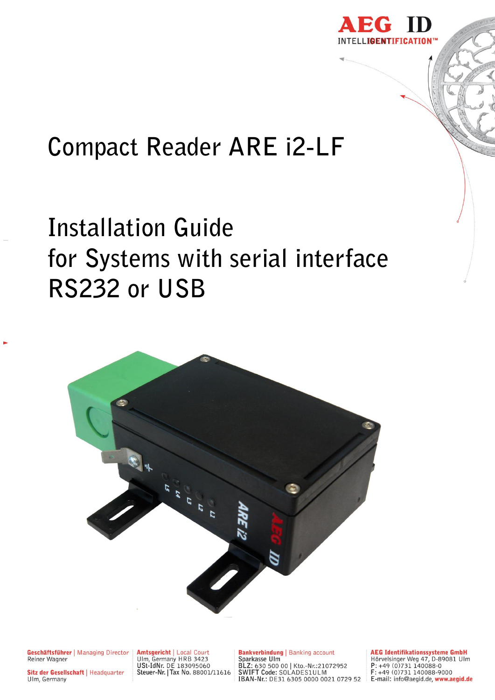

# **Compact Reader ARE i2-LF**

# **Installation Guide for Systems with serial interface RS232 or USB**



Geschäftsführer | Managing Director Reiner Wagner

Sitz der Gesellschaft | Headquarter Ulm, Germany

Amtsgericht | Local Court<br>Ulm, Germany HRB 3423<br>USt-IdNr. DE 183095060<br>Steuer-Nr. | Tax No. 88001/11616

**Bankverbindung | Banking account Bankasse Ulm**<br>
Sparkasse Ulm<br>
BLZ: 630 500 00 | Kto.-Nr.:21072952<br>
SWIFT Code: SOLADES1ULM<br>
IBAN-Nr.: DE31 6305 0000 0021 0729 52 **AEG Identifikationssysteme GmbH**<br>Hörvelsinger Weg 47, D-89081 Ulm<br>P: +49 (0)731 140088-0<br>E: +49 (0)731 140088-9000 E-mail: info@aegid.de, www.aegid.de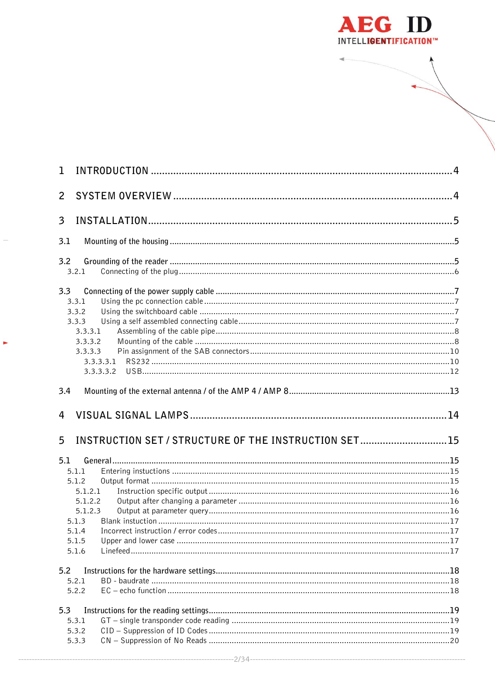

| 1              |                                                                            |  |
|----------------|----------------------------------------------------------------------------|--|
| $\overline{2}$ |                                                                            |  |
| $\overline{3}$ |                                                                            |  |
| 3.1            |                                                                            |  |
| 3.2            | 3.2.1                                                                      |  |
| 3.3            | 3.3.1<br>3.3.2<br>3.3.3<br>3.3.3.1<br>3.3.3.2<br>3.3.3.3                   |  |
| 3.4            |                                                                            |  |
|                |                                                                            |  |
| 4              |                                                                            |  |
| 5              | INSTRUCTION SET / STRUCTURE OF THE INSTRUCTION SET15                       |  |
| 5.1            | 5.1.1<br>5.1.2<br>5.1.2.1<br>5.1.2.2<br>5.1.2.3<br>5.1.3<br>5.1.5<br>5.1.6 |  |
| 5.2            | 5.2.1<br>5.2.2                                                             |  |

k,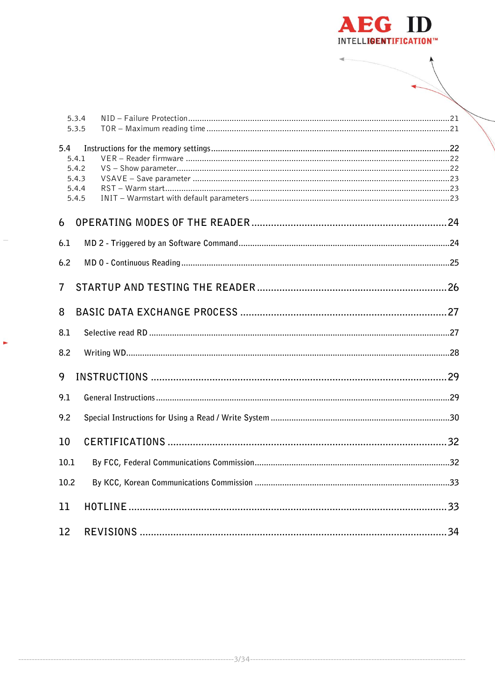

|                   | 5.3.4<br>5.3.5                            |
|-------------------|-------------------------------------------|
| 5.4               | 5.4.1<br>5.4.2<br>5.4.3<br>5.4.4<br>5.4.5 |
| 6                 |                                           |
| 6.1               |                                           |
| 6.2               |                                           |
| 7                 |                                           |
| 8                 |                                           |
| 8.1               |                                           |
| 8.2               |                                           |
| 9                 |                                           |
| 9.1               |                                           |
| 9.2               |                                           |
| 10                |                                           |
| 10.1              |                                           |
| 10.2              |                                           |
| 11                |                                           |
| $12 \overline{ }$ |                                           |

k,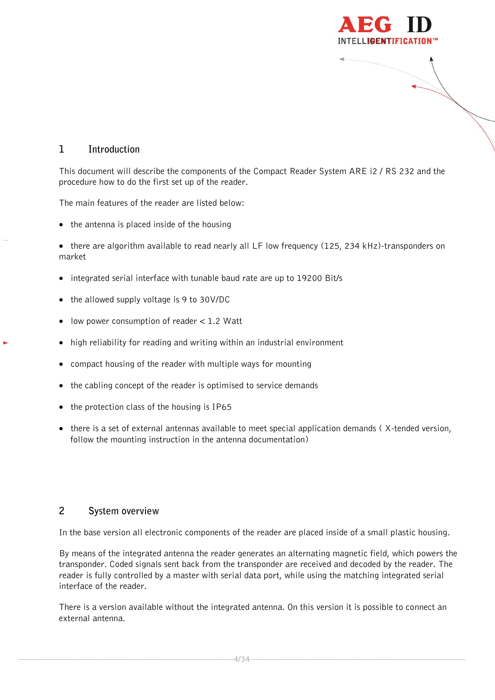

# <span id="page-3-0"></span>**1 Introduction**

This document will describe the components of the Compact Reader System ARE i2 / RS 232 and the procedure how to do the first set up of the reader.

The main features of the reader are listed below:

- $\bullet$  the antenna is placed inside of the housing
- there are algorithm available to read nearly all LF low frequency (125, 234 kHz)-transponders on market
- integrated serial interface with tunable baud rate are up to 19200 Bit/s
- the allowed supply voltage is 9 to 30V/DC
- $\bullet$  low power consumption of reader  $< 1.2$  Watt
- high reliability for reading and writing within an industrial environment
- compact housing of the reader with multiple ways for mounting
- the cabling concept of the reader is optimised to service demands
- the protection class of the housing is IP65
- there is a set of external antennas available to meet special application demands (X-tended version, follow the mounting instruction in the antenna documentation)

#### <span id="page-3-1"></span>**2 System overview**

In the base version all electronic components of the reader are placed inside of a small plastic housing.

By means of the integrated antenna the reader generates an alternating magnetic field, which powers the transponder. Coded signals sent back from the transponder are received and decoded by the reader. The reader is fully controlled by a master with serial data port, while using the matching integrated serial interface of the reader.

There is a version available without the integrated antenna. On this version it is possible to connect an external antenna.

--------------------------------------------------------------------------------4/34--------------------------------------------------------------------------------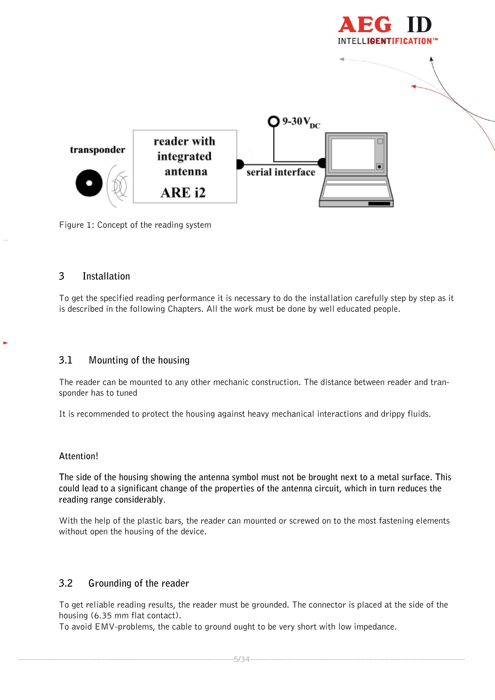



<span id="page-4-0"></span>Figure 1: Concept of the reading system

### **3 Installation**

To get the specified reading performance it is necessary to do the installation carefully step by step as it is described in the following Chapters. All the work must be done by well educated people.

# <span id="page-4-1"></span>**3.1 Mounting of the housing**

The reader can be mounted to any other mechanic construction. The distance between reader and transponder has to tuned

It is recommended to protect the housing against heavy mechanical interactions and drippy fluids.

#### **Attention!**

**The side of the housing showing the antenna symbol must not be brought next to a metal surface. This could lead to a significant change of the properties of the antenna circuit, which in turn reduces the reading range considerably**.

With the help of the plastic bars, the reader can mounted or screwed on to the most fastening elements without open the housing of the device.

# <span id="page-4-2"></span>**3.2 Grounding of the reader**

To get reliable reading results, the reader must be grounded. The connector is placed at the side of the housing (6.35 mm flat contact).

To avoid EMV-problems, the cable to ground ought to be very short with low impedance.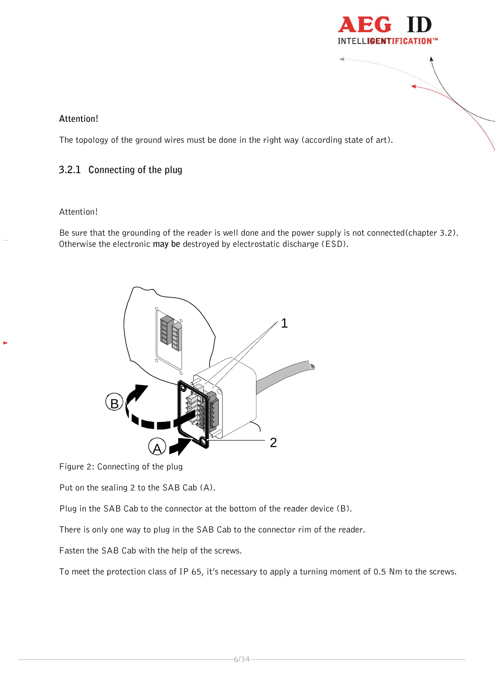

#### **Attention!**

The topology of the ground wires must be done in the right way (according state of art).

### <span id="page-5-0"></span>**3.2.1 Connecting of the plug**

#### Attention!

Be sure that the grounding of the reader is well done and the power supply is not connected(chapter 3.2). Otherwise the electronic **may be** destroyed by electrostatic discharge (ESD).



Figure 2: Connecting of the plug

Put on the sealing 2 to the SAB Cab (A).

Plug in the SAB Cab to the connector at the bottom of the reader device (B).

There is only one way to plug in the SAB Cab to the connector rim of the reader.

Fasten the SAB Cab with the help of the screws.

To meet the protection class of IP 65, it's necessary to apply a turning moment of 0.5 Nm to the screws.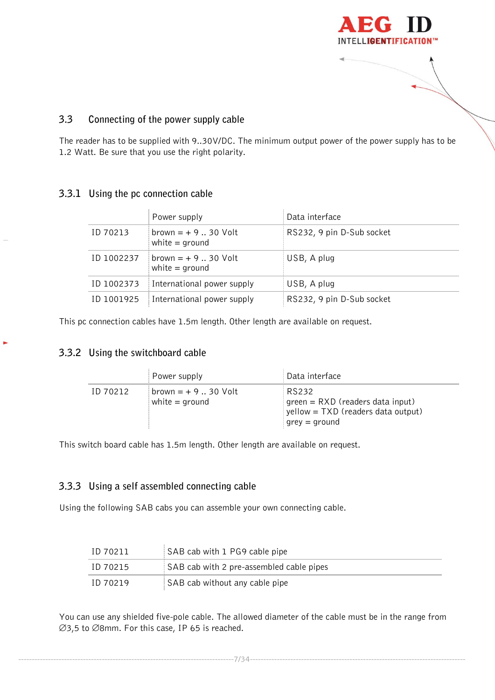

# <span id="page-6-0"></span>**3.3 Connecting of the power supply cable**

The reader has to be supplied with 9..30V/DC. The minimum output power of the power supply has to be 1.2 Watt. Be sure that you use the right polarity.

#### <span id="page-6-1"></span>**3.3.1 Using the pc connection cable**

|            | Power supply                             | Data interface            |
|------------|------------------------------------------|---------------------------|
| ID 70213   | $brown = + 930$ Volt<br>white $=$ ground | RS232, 9 pin D-Sub socket |
| ID 1002237 | $brown = + 930$ Volt<br>white $=$ ground | USB, A plug               |
| ID 1002373 | International power supply               | USB, A plug               |
| ID 1001925 | International power supply               | RS232, 9 pin D-Sub socket |

<span id="page-6-2"></span>This pc connection cables have 1.5m length. Other length are available on request.

# **3.3.2 Using the switchboard cable**

|          | Power supply                             | Data interface                                                                                     |
|----------|------------------------------------------|----------------------------------------------------------------------------------------------------|
| ID 70212 | $brown = + 930$ Volt<br>white $=$ ground | RS232<br>green = RXD (readers data input)<br>yellow = TXD (readers data output)<br>$grey = ground$ |

<span id="page-6-3"></span>This switch board cable has 1.5m length. Other length are available on request.

# **3.3.3 Using a self assembled connecting cable**

Using the following SAB cabs you can assemble your own connecting cable.

| ID 70211 | SAB cab with 1 PG9 cable pipe            |
|----------|------------------------------------------|
| ID 70215 | SAB cab with 2 pre-assembled cable pipes |
| ID 70219 | SAB cab without any cable pipe           |

You can use any shielded five-pole cable. The allowed diameter of the cable must be in the range from  $\varnothing$ 3,5 to  $\varnothing$ 8mm. For this case, IP 65 is reached.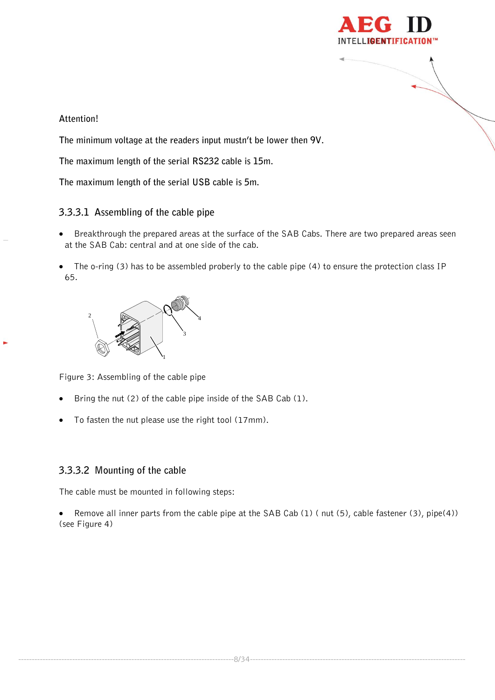

# **Attention!**

**The minimum voltage at the readers input mustn't be lower then 9V.**

**The maximum length of the serial RS232 cable is 15m.**

**The maximum length of the serial USB cable is 5m.**

# <span id="page-7-0"></span>**3.3.3.1 Assembling of the cable pipe**

- Breakthrough the prepared areas at the surface of the SAB Cabs. There are two prepared areas seen at the SAB Cab: central and at one side of the cab.
- The o-ring (3) has to be assembled proberly to the cable pipe (4) to ensure the protection class IP 65.



Figure 3: Assembling of the cable pipe

- Bring the nut (2) of the cable pipe inside of the SAB Cab (1).
- To fasten the nut please use the right tool (17mm).

# <span id="page-7-1"></span>**3.3.3.2 Mounting of the cable**

The cable must be mounted in following steps:

 Remove all inner parts from the cable pipe at the SAB Cab (1) ( nut (5), cable fastener (3), pipe(4)) (see Figure 4)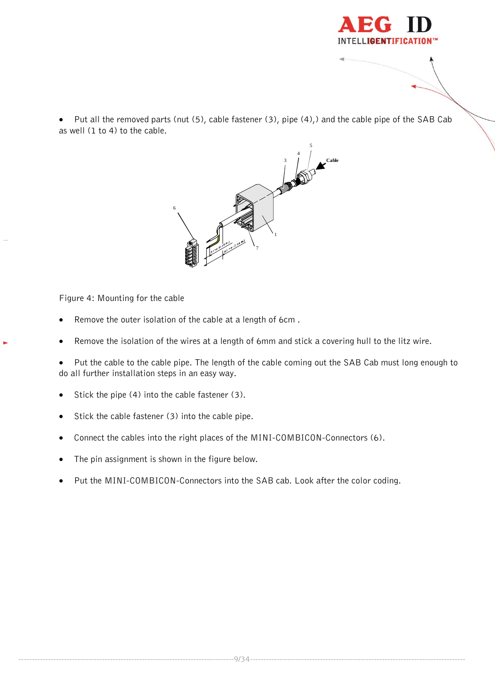

 Put all the removed parts (nut (5), cable fastener (3), pipe (4),) and the cable pipe of the SAB Cab as well (1 to 4) to the cable.



Figure 4: Mounting for the cable

- Remove the outer isolation of the cable at a length of 6cm .
- Remove the isolation of the wires at a length of 6mm and stick a covering hull to the litz wire.
- Put the cable to the cable pipe. The length of the cable coming out the SAB Cab must long enough to do all further installation steps in an easy way.
- $\bullet$  Stick the pipe (4) into the cable fastener (3).
- Stick the cable fastener (3) into the cable pipe.
- Connect the cables into the right places of the MINI-COMBICON-Connectors (6).
- The pin assignment is shown in the figure below.
- Put the MINI-COMBICON-Connectors into the SAB cab. Look after the color coding.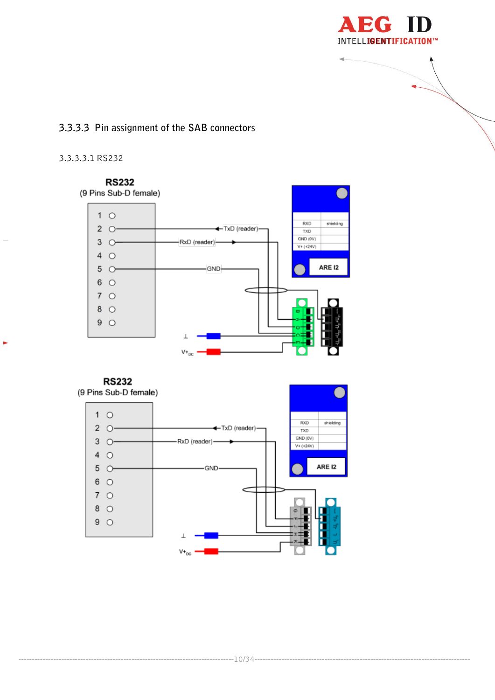

# <span id="page-9-0"></span>3.3.3.3 Pin assignment of the SAB connectors

#### <span id="page-9-1"></span>3.3.3.3.1 RS232



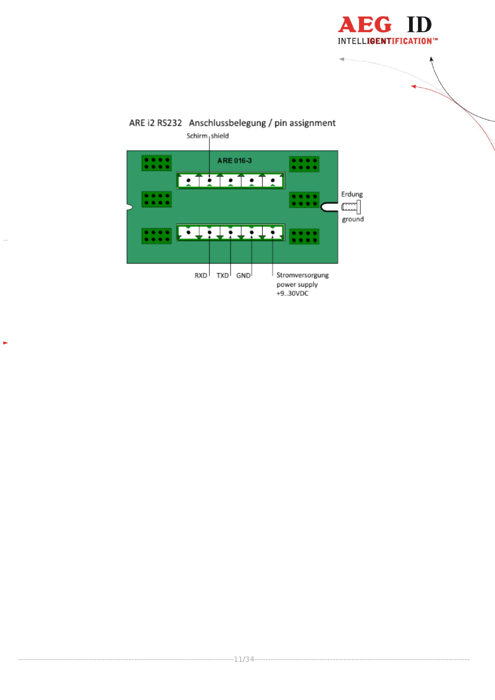



 $\blacksquare$ 

 $---11/34---$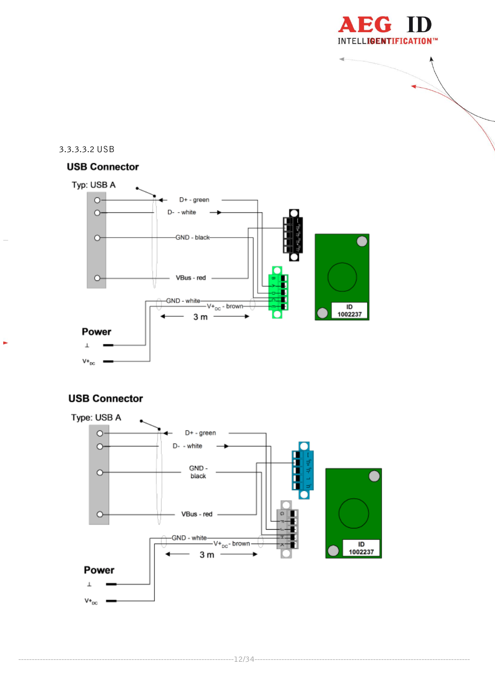

#### <span id="page-11-0"></span>3.3.3.3.2 USB

# **USB Connector**



# **USB Connector**

ь

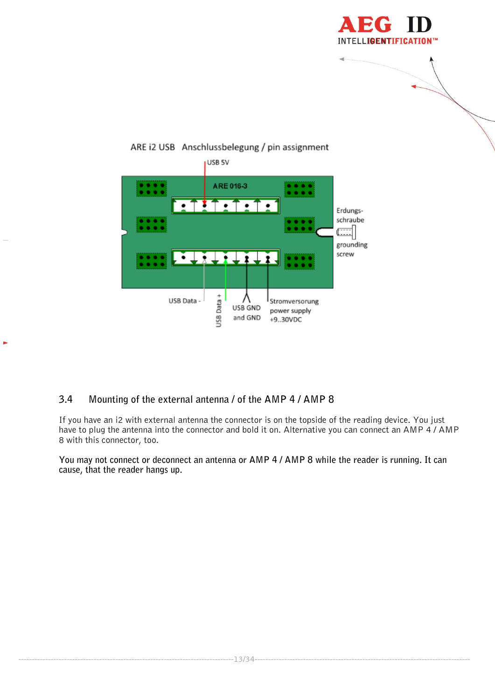



# ARE i2 USB Anschlussbelegung / pin assignment

# <span id="page-12-0"></span>**3.4 Mounting of the external antenna / of the AMP 4 / AMP 8**

ь

If you have an i2 with external antenna the connector is on the topside of the reading device. You just have to plug the antenna into the connector and bold it on. Alternative you can connect an AMP 4 / AMP 8 with this connector, too.

**You may not connect or deconnect an antenna or AMP 4 / AMP 8 while the reader is running. It can cause, that the reader hangs up.**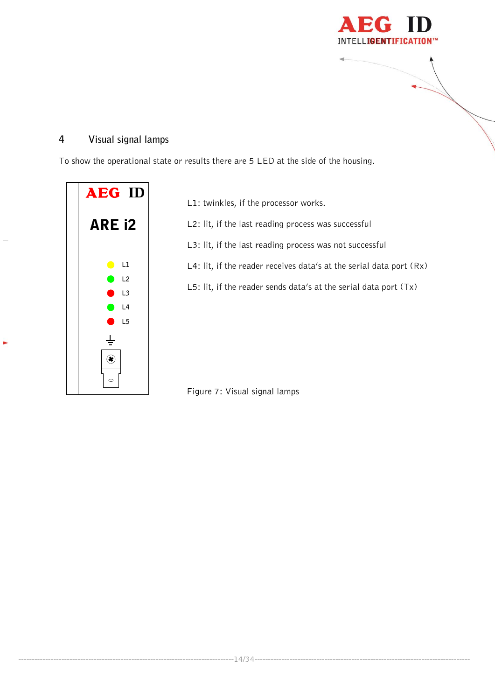

# <span id="page-13-0"></span>**4 Visual signal lamps**

To show the operational state or results there are 5 LED at the side of the housing.



L1: twinkles, if the processor works.

L2: lit, if the last reading process was successful

L3: lit, if the last reading process was not successful

L4: lit, if the reader receives data's at the serial data port (Rx)

L5: lit, if the reader sends data's at the serial data port (Tx)

Figure 7: Visual signal lamps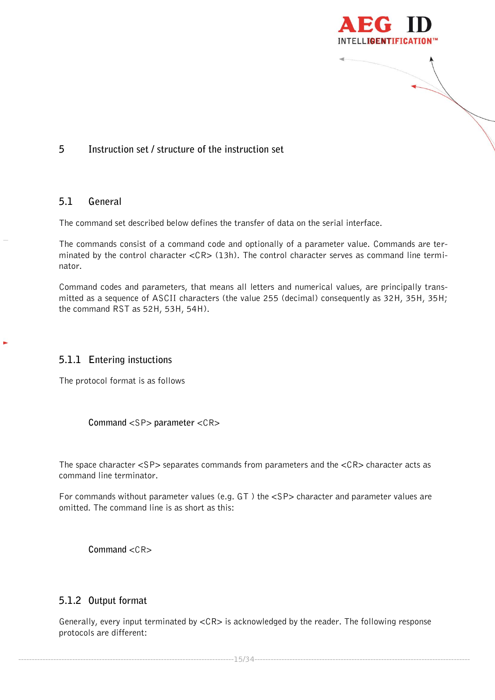

# <span id="page-14-1"></span><span id="page-14-0"></span>**5 Instruction set / structure of the instruction set**

#### **5.1 General**

The command set described below defines the transfer of data on the serial interface.

The commands consist of a command code and optionally of a parameter value. Commands are terminated by the control character <CR> (13h). The control character serves as command line terminator.

Command codes and parameters, that means all letters and numerical values, are principally transmitted as a sequence of ASCII characters (the value 255 (decimal) consequently as 32H, 35H, 35H; the command RST as 52H, 53H, 54H).

#### <span id="page-14-2"></span>**5.1.1 Entering instuctions**

The protocol format is as follows

**Command** <SP> **parameter** <CR>

The space character <SP> separates commands from parameters and the <CR> character acts as command line terminator.

For commands without parameter values (e.g.  $GT$ ) the  $\langle SP \rangle$  character and parameter values are omitted. The command line is as short as this:

**Command** <CR>

#### <span id="page-14-3"></span>**5.1.2 Output format**

Generally, every input terminated by <CR> is acknowledged by the reader. The following response protocols are different:

--------------------------------------------------------------------------------15/34--------------------------------------------------------------------------------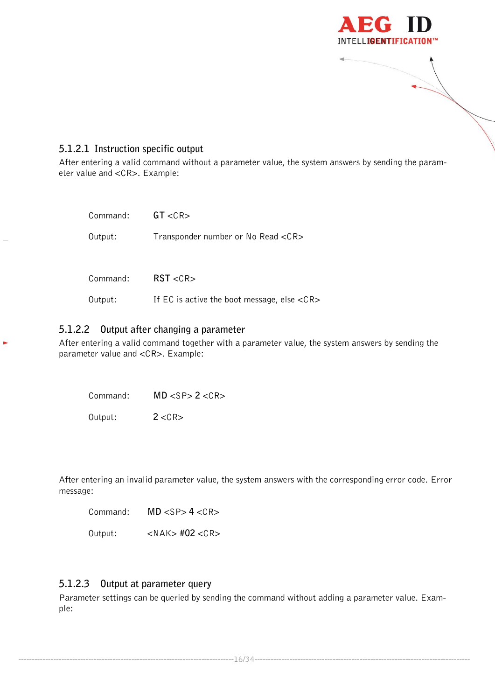

# <span id="page-15-0"></span>**5.1.2.1 Instruction specific output**

After entering a valid command without a parameter value, the system answers by sending the parameter value and <CR>. Example:

| Command: | GT < CR                                                     |
|----------|-------------------------------------------------------------|
| Output:  | Transponder number or No Read <cr></cr>                     |
| Command: | RST < CR                                                    |
| Output:  | If EC is active the boot message, else $\langle CR \rangle$ |

#### <span id="page-15-1"></span>**5.1.2.2 Output after changing a parameter**

After entering a valid command together with a parameter value, the system answers by sending the parameter value and <CR>. Example:

Command: **MD** <SP> **2** <CR>

Output: **2** <CR>

After entering an invalid parameter value, the system answers with the corresponding error code. Error message:

Command: **MD** <SP> **4** <CR>

Output: <NAK> **#02** <CR>

#### <span id="page-15-2"></span>**5.1.2.3 Output at parameter query**

Parameter settings can be queried by sending the command without adding a parameter value. Example:

--------------------------------------------------------------------------------16/34--------------------------------------------------------------------------------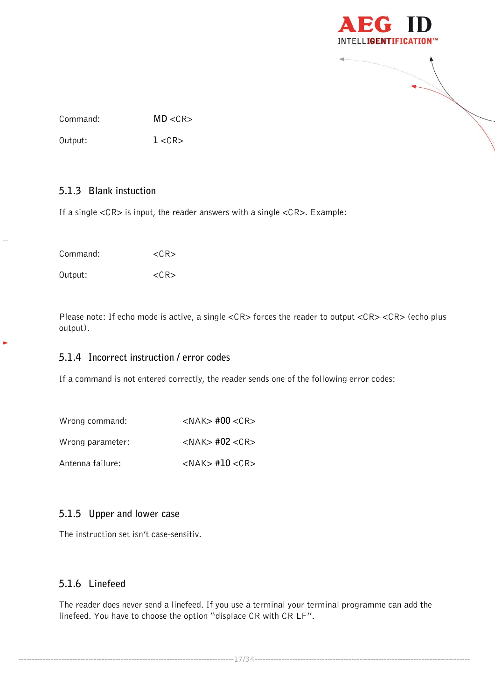

Command: **MD** <CR>

Output: **1**<CR>

# <span id="page-16-0"></span>**5.1.3 Blank instuction**

If a single <CR> is input, the reader answers with a single <CR>. Example:

Command: <CR>

Output: <CR>

ь

Please note: If echo mode is active, a single <CR> forces the reader to output <CR> <CR> (echo plus output).

# <span id="page-16-1"></span>**5.1.4 Incorrect instruction / error codes**

If a command is not entered correctly, the reader sends one of the following error codes:

| Wrong command:   | $<$ NAK $>$ #00 $<$ CR $>$ |
|------------------|----------------------------|
| Wrong parameter: | $<$ NAK $>$ #02 $<$ CR $>$ |
| Antenna failure: | $<$ NAK $>$ #10 $<$ CR $>$ |

# <span id="page-16-2"></span>**5.1.5 Upper and lower case**

The instruction set isn't case-sensitiv.

# <span id="page-16-3"></span>**5.1.6 Linefeed**

The reader does never send a linefeed. If you use a terminal your terminal programme can add the linefeed. You have to choose the option "displace CR with CR LF".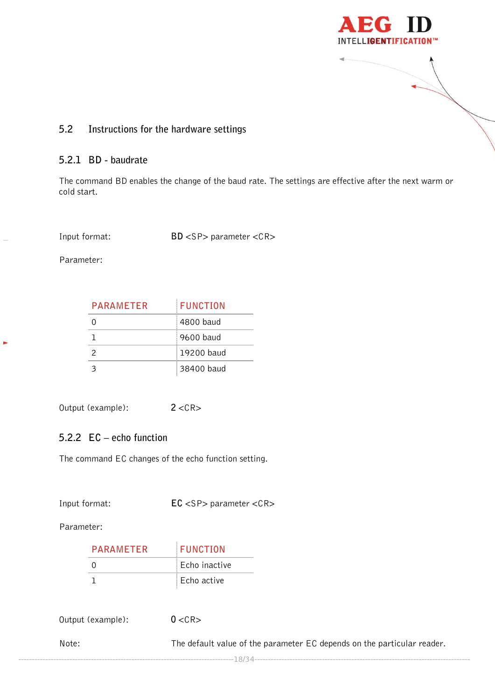

# <span id="page-17-0"></span>**5.2 Instructions for the hardware settings**

# <span id="page-17-1"></span>**5.2.1 BD - baudrate**

The command BD enables the change of the baud rate. The settings are effective after the next warm or cold start.

Input format: **BD** <SP> parameter <CR>

Parameter:

×

| <b>PARAMETER</b> | <b>FUNCTION</b> |
|------------------|-----------------|
|                  | 4800 baud       |
|                  | 9600 baud       |
| $\mathcal{P}$    | 19200 baud      |
|                  | 38400 baud      |

Output (example): **2** <CR>

# <span id="page-17-2"></span>**5.2.2 EC – echo function**

The command EC changes of the echo function setting.

Input format: **EC** <SP> parameter <CR>

Parameter:

| <b>PARAMETER</b> | <b>FUNCTION</b> |
|------------------|-----------------|
| $\mathbf{O}$     | Echo inactive   |
|                  | Echo active     |

Output (example): **0** <CR>

Note: The default value of the parameter EC depends on the particular reader.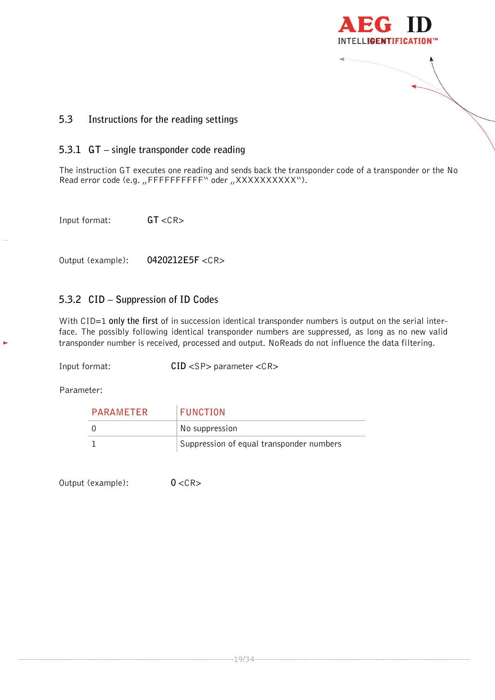

# <span id="page-18-0"></span>**5.3 Instructions for the reading settings**

#### <span id="page-18-1"></span>**5.3.1 GT – single transponder code reading**

The instruction GT executes one reading and sends back the transponder code of a transponder or the No Read error code (e.g. "FFFFFFFFFFF" oder "XXXXXXXXXXX").

Input format: **GT** <CR>

Output (example): **0420212E5F** <CR>

# <span id="page-18-2"></span>**5.3.2 CID – Suppression of ID Codes**

With CID=1 **only the first** of in succession identical transponder numbers is output on the serial interface. The possibly following identical transponder numbers are suppressed, as long as no new valid transponder number is received, processed and output. NoReads do not influence the data filtering.

Input format: **CID** <SP> parameter <CR>

Parameter:

| PARAMETER | FUNCTION                                 |
|-----------|------------------------------------------|
|           | No suppression                           |
|           | Suppression of equal transponder numbers |

Output (example): **0** <CR>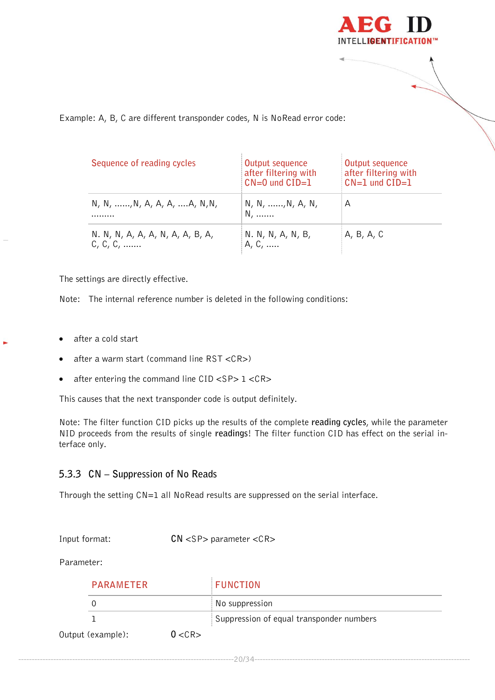

#### Example: A, B, C are different transponder codes, N is NoRead error code:

| Sequence of reading cycles                            | Output sequence<br>after filtering with<br>$CN=0$ und $CID=1$ | Output sequence<br>after filtering with<br>$CN=1$ und $CID=1$ |
|-------------------------------------------------------|---------------------------------------------------------------|---------------------------------------------------------------|
| N, N, , N, A, A, A,  A, N, N,<br>.                    | N, N, , N, A, N,<br>N,                                        | А                                                             |
| N. N, N, A, A, A, N, A, A, B, A,<br>$C, C, C, \ldots$ | N. N, N, A, N, B,<br>A, C,                                    | A, B, A, C                                                    |

The settings are directly effective.

Note: The internal reference number is deleted in the following conditions:

- after a cold start
- after a warm start (command line RST <CR>)
- after entering the command line  $CID < SP > 1 < CR > 1$

This causes that the next transponder code is output definitely.

Note: The filter function CID picks up the results of the complete **reading cycles**, while the parameter NID proceeds from the results of single **readings**! The filter function CID has effect on the serial interface only.

# <span id="page-19-0"></span>**5.3.3 CN – Suppression of No Reads**

Through the setting CN=1 all NoRead results are suppressed on the serial interface.

Input format: **CN** <SP> parameter <CR>

Parameter:

| <b>PARAMETER</b>  |        | <b>FUNCTION</b>                          |  |
|-------------------|--------|------------------------------------------|--|
|                   |        | No suppression                           |  |
|                   |        | Suppression of equal transponder numbers |  |
| Output (example): | 0 < CR |                                          |  |

--------------------------------------------------------------------------------20/34--------------------------------------------------------------------------------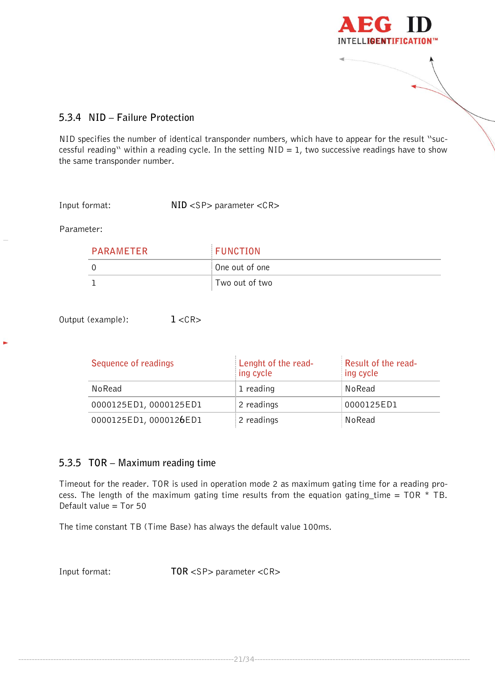

# <span id="page-20-0"></span>**5.3.4 NID – Failure Protection**

NID specifies the number of identical transponder numbers, which have to appear for the result "successful reading" within a reading cycle. In the setting  $NID = 1$ , two successive readings have to show the same transponder number.

Input format: **NID** <SP> parameter <CR>

Parameter:

| PARAMFTFR | <b>FUNCTION</b> |
|-----------|-----------------|
|           | One out of one  |
|           | Two out of two  |

Output (example): **1** <CR>

| Sequence of readings   | Lenght of the read-<br>ing cycle | Result of the read-<br>ing cycle |
|------------------------|----------------------------------|----------------------------------|
| NoRead                 | 1 reading                        | NoRead                           |
| 0000125ED1,0000125ED1  | 2 readings                       | 0000125ED1                       |
| 0000125ED1, 0000126ED1 | 2 readings                       | NoRead                           |

# <span id="page-20-1"></span>**5.3.5 TOR – Maximum reading time**

Timeout for the reader. TOR is used in operation mode 2 as maximum gating time for a reading process. The length of the maximum gating time results from the equation gating\_time =  $TOR * TB$ . Default value  $=$  Tor 50

The time constant TB (Time Base) has always the default value 100ms.

Input format: **TOR** <SP> parameter <CR>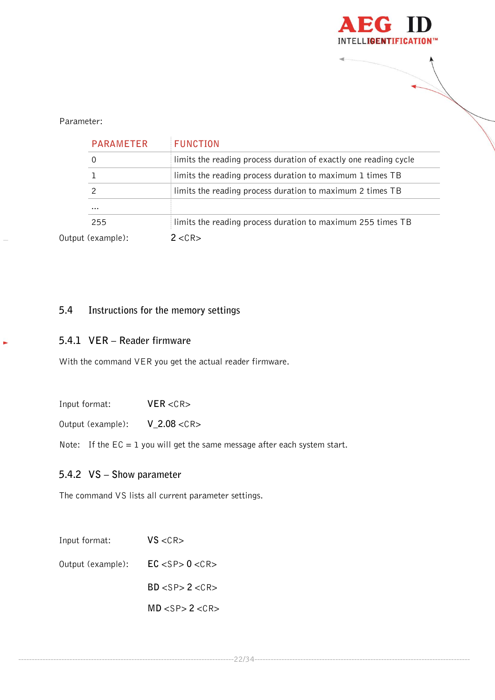

#### Parameter:

| <b>PARAMETER</b>  | <b>FUNCTION</b>                                                  |
|-------------------|------------------------------------------------------------------|
| 0                 | limits the reading process duration of exactly one reading cycle |
| ı                 | limits the reading process duration to maximum 1 times TB        |
|                   | limits the reading process duration to maximum 2 times TB        |
| $\cdots$          |                                                                  |
| 255               | limits the reading process duration to maximum 255 times TB      |
| Output (example): | $2 < C$ R $>$                                                    |

# <span id="page-21-0"></span>**5.4 Instructions for the memory settings**

### <span id="page-21-1"></span>**5.4.1 VER – Reader firmware**

j.

With the command VER you get the actual reader firmware.

Input format: **VER** <CR>

Output (example): **V\_2.08** <CR>

Note: If the  $EC = 1$  you will get the same message after each system start.

# <span id="page-21-2"></span>**5.4.2 VS – Show parameter**

The command VS lists all current parameter settings.

| Input format:     | VS < CR            |
|-------------------|--------------------|
| Output (example): | EC < SP > 0 < CR > |
|                   | BD < SP > 2 < CR > |
|                   | MD < SP > 2 < CR > |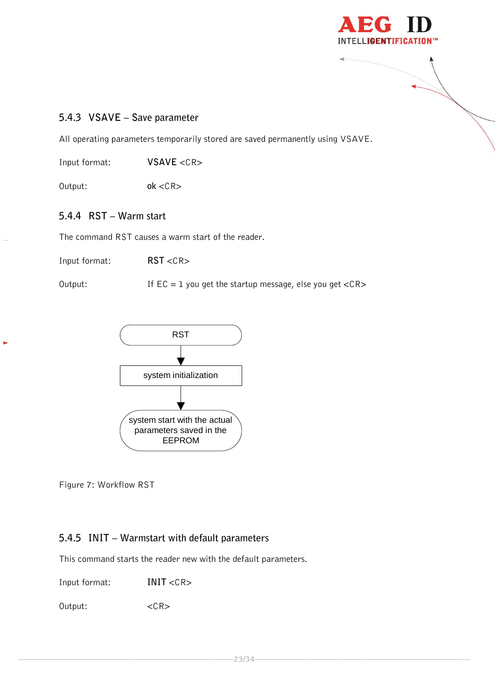

# <span id="page-22-0"></span>**5.4.3 VSAVE – Save parameter**

All operating parameters temporarily stored are saved permanently using VSAVE.

Input format: **VSAVE** <CR>

Output: **ok** <CR>

# <span id="page-22-1"></span>**5.4.4 RST – Warm start**

The command RST causes a warm start of the reader.

Input format: **RST** <CR>

Output: If  $EC = 1$  you get the startup message, else you get  $\langle CR \rangle$ 



Figure 7: Workflow RST

#### <span id="page-22-2"></span>**5.4.5 INIT – Warmstart with default parameters**

This command starts the reader new with the default parameters.

Input format: **INIT** <CR>

Output: <CR>

--------------------------------------------------------------------------------23/34--------------------------------------------------------------------------------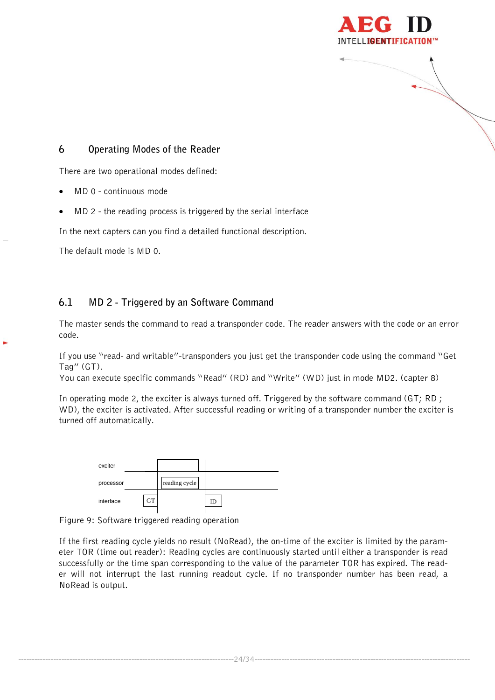

# <span id="page-23-0"></span>**6 Operating Modes of the Reader**

There are two operational modes defined:

- MD 0 continuous mode
- MD 2 the reading process is triggered by the serial interface

In the next capters can you find a detailed functional description.

<span id="page-23-1"></span>The default mode is MD 0.

# **6.1 MD 2 - Triggered by an Software Command**

The master sends the command to read a transponder code. The reader answers with the code or an error code.

If you use "read- and writable"-transponders you just get the transponder code using the command "Get Tag" (GT).

You can execute specific commands "Read" (RD) and "Write" (WD) just in mode MD2. (capter 8)

In operating mode 2, the exciter is always turned off. Triggered by the software command (GT; RD ; WD), the exciter is activated. After successful reading or writing of a transponder number the exciter is turned off automatically.

| exciter   |           |               |    |
|-----------|-----------|---------------|----|
| processor |           | reading cycle |    |
| interface | <b>GT</b> |               | ID |
|           |           |               |    |

Figure 9: Software triggered reading operation

If the first reading cycle yields no result (NoRead), the on-time of the exciter is limited by the parameter TOR (time out reader): Reading cycles are continuously started until either a transponder is read successfully or the time span corresponding to the value of the parameter TOR has expired. The reader will not interrupt the last running readout cycle. If no transponder number has been read, a NoRead is output.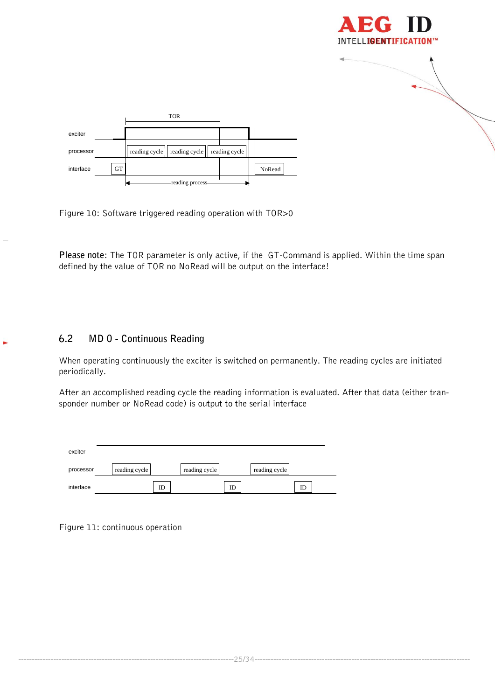



Figure 10: Software triggered reading operation with TOR>0

**Please note**: The TOR parameter is only active, if the GT-Command is applied. Within the time span defined by the value of TOR no NoRead will be output on the interface!

# <span id="page-24-0"></span>**6.2 MD 0 - Continuous Reading**

When operating continuously the exciter is switched on permanently. The reading cycles are initiated periodically.

After an accomplished reading cycle the reading information is evaluated. After that data (either transponder number or NoRead code) is output to the serial interface

| exciter   |               |               |               |
|-----------|---------------|---------------|---------------|
| processor | reading cycle | reading cycle | reading cycle |
| interface | ID            | ID            | ID            |

Figure 11: continuous operation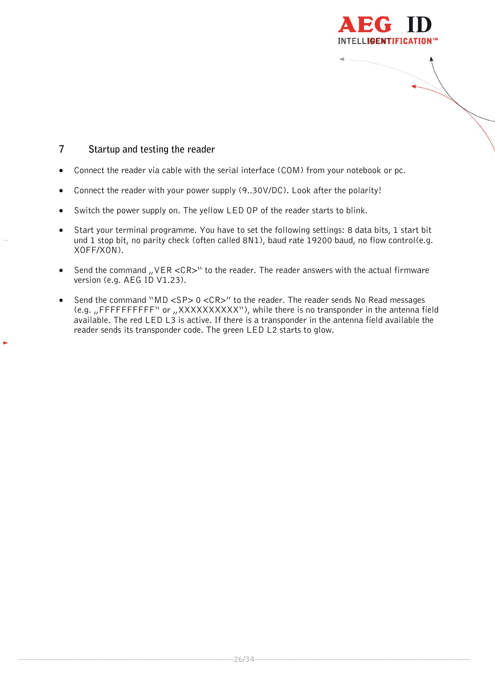

# <span id="page-25-0"></span>**7 Startup and testing the reader**

- Connect the reader via cable with the serial interface (COM) from your notebook or pc.
- Connect the reader with your power supply (9..30V/DC). Look after the polarity!
- Switch the power supply on. The yellow LED OP of the reader starts to blink.
- Start your terminal programme. You have to set the following settings: 8 data bits, 1 start bit und 1 stop bit, no parity check (often called 8N1), baud rate 19200 baud, no flow control(e.g. XOFF/XON).
- Send the command  $_{II}$  VER <CR>" to the reader. The reader answers with the actual firmware version (e.g. AEG ID V1.23).
- Send the command "MD <SP> 0 <CR>" to the reader. The reader sends No Read messages (e.g. "FFFFFFFFFFF" or "XXXXXXXXXX"), while there is no transponder in the antenna field available. The red LED L3 is active. If there is a transponder in the antenna field available the reader sends its transponder code. The green LED L2 starts to glow.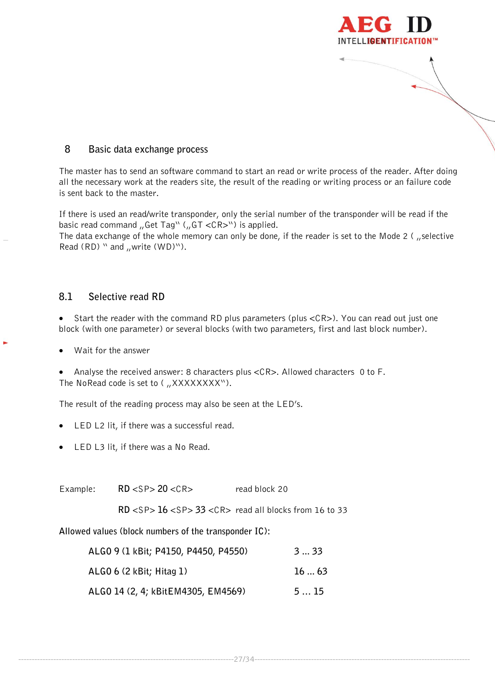

#### <span id="page-26-0"></span>**8 Basic data exchange process**

The master has to send an software command to start an read or write process of the reader. After doing all the necessary work at the readers site, the result of the reading or writing process or an failure code is sent back to the master.

If there is used an read/write transponder, only the serial number of the transponder will be read if the basic read command  $\mu$ Get Tag" ( $\mu$ GT <CR>") is applied.

The data exchange of the whole memory can only be done, if the reader is set to the Mode 2 ( "selective Read  $(RD)$  " and "write  $(WD)$ ").

#### <span id="page-26-1"></span>**8.1 Selective read RD**

• Start the reader with the command RD plus parameters (plus <CR>). You can read out just one block (with one parameter) or several blocks (with two parameters, first and last block number).

Wait for the answer

 Analyse the received answer: 8 characters plus <CR>. Allowed characters 0 to F. The NoRead code is set to  $\binom{n}{x}$  XXXXXXXXVV).

The result of the reading process may also be seen at the LED's.

- LED L2 lit, if there was a successful read.
- LED L3 lit, if there was a No Read.

Example: **RD** <SP> 20 <CR> read block 20

**RD** <SP> **16** <SP> **33** <CR> read all blocks from 16 to 33

--------------------------------------------------------------------------------27/34--------------------------------------------------------------------------------

**Allowed values (block numbers of the transponder IC):**

| ALGO 9 (1 kBit; P4150, P4450, P4550) | 3  33 |
|--------------------------------------|-------|
| ALGO 6 (2 kBit; Hitag 1)             | 1663  |
| ALGO 14 (2, 4; kBitEM4305, EM4569)   | 515   |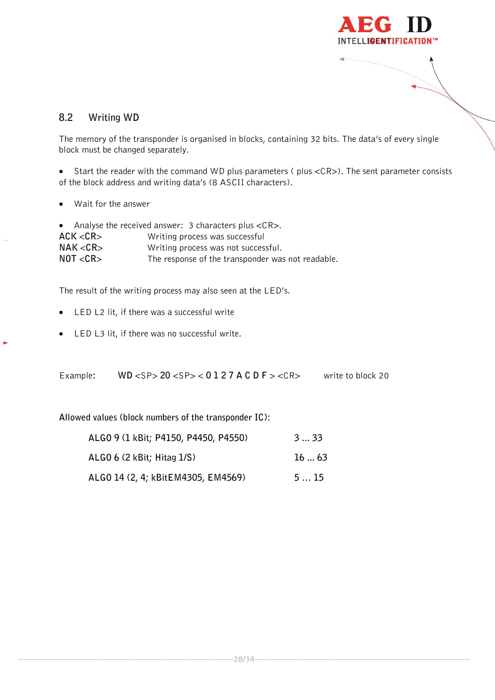

# <span id="page-27-0"></span>**8.2 Writing WD**

The memory of the transponder is organised in blocks, containing 32 bits. The data's of every single block must be changed separately.

 Start the reader with the command WD plus parameters ( plus <CR>). The sent parameter consists of the block address and writing data's (8 ASCII characters).

Wait for the answer

|          | • Analyse the received answer: 3 characters plus $\langle CR \rangle$ . |
|----------|-------------------------------------------------------------------------|
| ACK < CR | Writing process was successful                                          |
| NAK < CR | Writing process was not successful.                                     |
| NOT < CR | The response of the transponder was not readable.                       |

The result of the writing process may also seen at the LED's.

- LED L2 lit, if there was a successful write
- LED L3 lit, if there was no successful write.

Example**: WD** <SP> **20** <SP> < **0 1 2 7 A C D F** > <CR> write to block 20

**Allowed values (block numbers of the transponder IC):**

| ALGO 9 (1 kBit; P4150, P4450, P4550) | 3  33 |
|--------------------------------------|-------|
| ALGO 6 (2 kBit; Hitag 1/S)           | 1663  |
| ALGO 14 (2, 4; kBitEM4305, EM4569)   | 515   |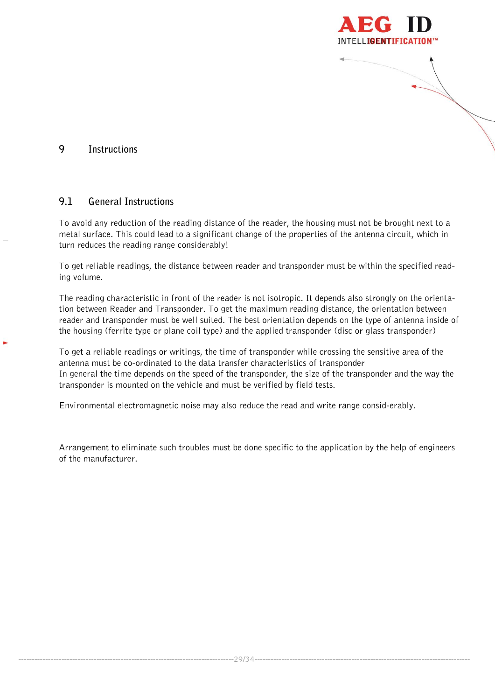

# <span id="page-28-1"></span><span id="page-28-0"></span>**9 Instructions**

### **9.1 General Instructions**

To avoid any reduction of the reading distance of the reader, the housing must not be brought next to a metal surface. This could lead to a significant change of the properties of the antenna circuit, which in turn reduces the reading range considerably!

To get reliable readings, the distance between reader and transponder must be within the specified reading volume.

The reading characteristic in front of the reader is not isotropic. It depends also strongly on the orientation between Reader and Transponder. To get the maximum reading distance, the orientation between reader and transponder must be well suited. The best orientation depends on the type of antenna inside of the housing (ferrite type or plane coil type) and the applied transponder (disc or glass transponder)

To get a reliable readings or writings, the time of transponder while crossing the sensitive area of the antenna must be co-ordinated to the data transfer characteristics of transponder In general the time depends on the speed of the transponder, the size of the transponder and the way the transponder is mounted on the vehicle and must be verified by field tests.

Environmental electromagnetic noise may also reduce the read and write range consid-erably.

Arrangement to eliminate such troubles must be done specific to the application by the help of engineers of the manufacturer.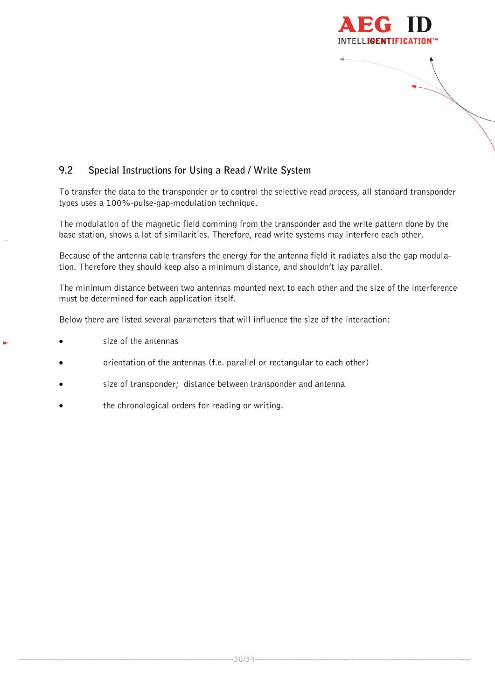

# <span id="page-29-0"></span>**9.2 Special Instructions for Using a Read / Write System**

To transfer the data to the transponder or to control the selective read process, all standard transponder types uses a 100%-pulse-gap-modulation technique.

The modulation of the magnetic field comming from the transponder and the write pattern done by the base station, shows a lot of similarities. Therefore, read write systems may interfere each other.

Because of the antenna cable transfers the energy for the antenna field it radiates also the gap modulation. Therefore they should keep also a minimum distance, and shouldn't lay parallel.

The minimum distance between two antennas mounted next to each other and the size of the interference must be determined for each application itself.

Below there are listed several parameters that will influence the size of the interaction:

- size of the antennas
- orientation of the antennas (f.e. parallel or rectangular to each other)
- size of transponder; distance between transponder and antenna
- the chronological orders for reading or writing.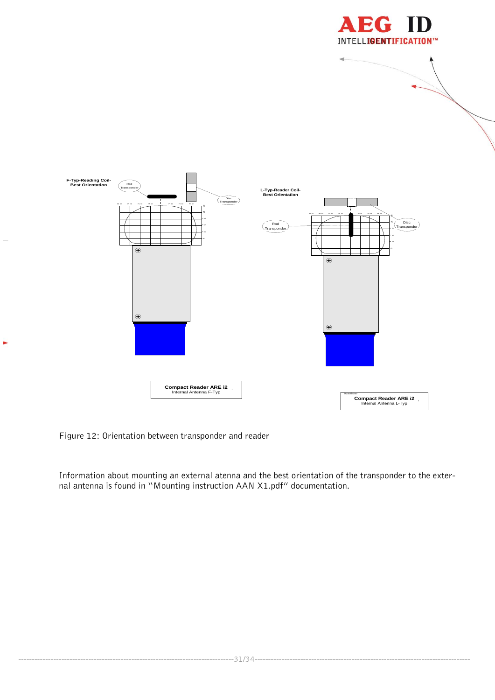



Figure 12: Orientation between transponder and reader

×,

Information about mounting an external atenna and the best orientation of the transponder to the external antenna is found in "Mounting instruction AAN X1.pdf" documentation.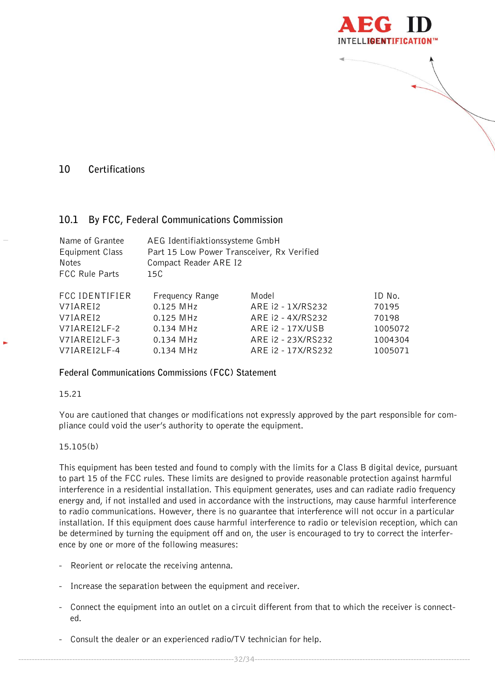

# <span id="page-31-1"></span><span id="page-31-0"></span>**10 Certifications**

# **10.1 By FCC, Federal Communications Commission**

| Name of Grantee<br>Equipment Class<br>Notes<br><b>FCC Rule Parts</b> | AEG Identifiaktionssysteme GmbH<br>Part 15 Low Power Transceiver, Rx Verified<br>Compact Reader ARE I2<br>15C |                    |         |
|----------------------------------------------------------------------|---------------------------------------------------------------------------------------------------------------|--------------------|---------|
| <b>FCC IDENTIFIER</b>                                                | Frequency Range                                                                                               | Model              | ID No.  |
| V7IAREI2                                                             | 0.125 MHz                                                                                                     | ARE 12 - 1X/RS232  | 70195   |
| V7IAREI2                                                             | 0.125 MHz                                                                                                     | ARE 12 - 4X/RS232  | 70198   |
| V7IAREI2LF-2                                                         | 0.134 MHz                                                                                                     | ARE 12 - 17X/USB   | 1005072 |
| V7IAREI2LF-3                                                         | 0.134 MHz                                                                                                     | ARE 12 - 23X/RS232 | 1004304 |
| V7IAREI2LF-4                                                         | 0.134 MHz                                                                                                     | ARE 12 - 17X/RS232 | 1005071 |

#### **Federal Communications Commissions (FCC) Statement**

#### 15.21

You are cautioned that changes or modifications not expressly approved by the part responsible for compliance could void the user's authority to operate the equipment.

#### 15.105(b)

This equipment has been tested and found to comply with the limits for a Class B digital device, pursuant to part 15 of the FCC rules. These limits are designed to provide reasonable protection against harmful interference in a residential installation. This equipment generates, uses and can radiate radio frequency energy and, if not installed and used in accordance with the instructions, may cause harmful interference to radio communications. However, there is no guarantee that interference will not occur in a particular installation. If this equipment does cause harmful interference to radio or television reception, which can be determined by turning the equipment off and on, the user is encouraged to try to correct the interference by one or more of the following measures:

- Reorient or relocate the receiving antenna.
- Increase the separation between the equipment and receiver.
- Connect the equipment into an outlet on a circuit different from that to which the receiver is connected.
- Consult the dealer or an experienced radio/TV technician for help.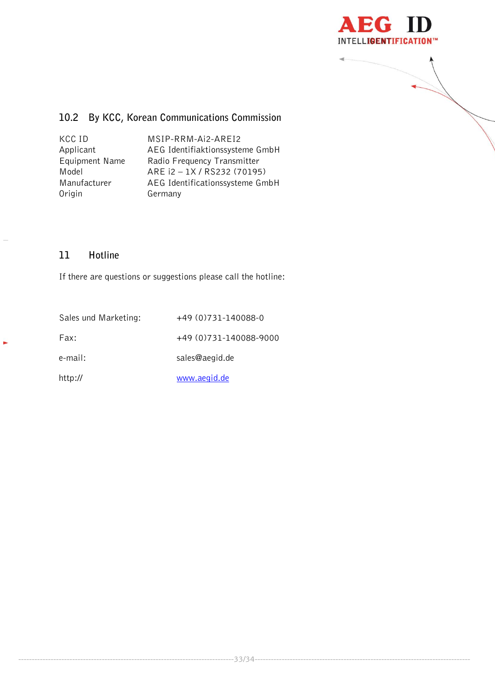



# <span id="page-32-0"></span>**10.2 By KCC, Korean Communications Commission**

| KCC ID         | MSIP-RRM-Ai2-AREI2              |
|----------------|---------------------------------|
| Applicant      | AEG Identifiaktionssysteme GmbH |
| Equipment Name | Radio Frequency Transmitter     |
| Model          | ARE i2 - 1X / RS232 (70195)     |
| Manufacturer   | AEG Identificationssysteme GmbH |
| Origin         | Germany                         |

# <span id="page-32-1"></span>**11 Hotline**

k,

If there are questions or suggestions please call the hotline:

| Sales und Marketing: | +49 (0) 731 - 140088 - 0    |
|----------------------|-----------------------------|
| Fax:                 | +49 (0) 731 - 140088 - 9000 |
| e-mail:              | sales@aegid.de              |
| http://              | www.aegid.de                |